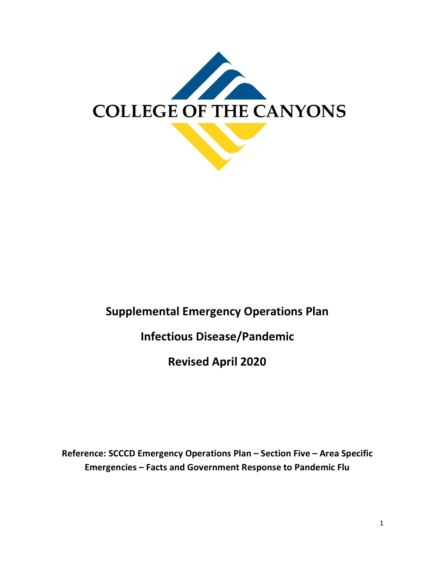

# **Supplemental Emergency Operations Plan**

# **Infectious Disease/Pandemic**

**Revised April 2020**

**Reference: SCCCD Emergency Operations Plan – Section Five – Area Specific Emergencies – Facts and Government Response to Pandemic Flu**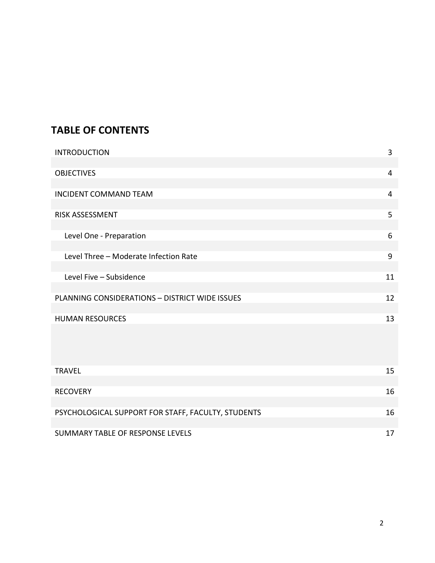# **TABLE OF CONTENTS**

| <b>INTRODUCTION</b>                            | 3  |
|------------------------------------------------|----|
|                                                |    |
| <b>OBJECTIVES</b>                              | 4  |
|                                                |    |
| <b>INCIDENT COMMAND TEAM</b>                   | 4  |
|                                                |    |
| <b>RISK ASSESSMENT</b>                         | 5  |
|                                                |    |
| Level One - Preparation                        | 6  |
|                                                |    |
| Level Three - Moderate Infection Rate          | 9  |
|                                                |    |
| Level Five - Subsidence                        | 11 |
|                                                |    |
| PLANNING CONSIDERATIONS - DISTRICT WIDE ISSUES | 12 |
|                                                |    |
| <b>HUMAN RESOURCES</b>                         | 13 |
|                                                |    |

| 15 |
|----|
|    |
| 16 |
|    |
| 16 |
|    |
| 17 |
|    |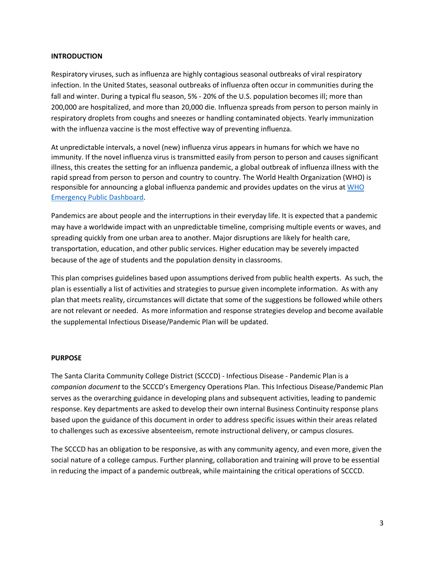#### **INTRODUCTION**

Respiratory viruses, such as influenza are highly contagious seasonal outbreaks of viral respiratory infection. In the United States, seasonal outbreaks of influenza often occur in communities during the fall and winter. During a typical flu season, 5% - 20% of the U.S. population becomes ill; more than 200,000 are hospitalized, and more than 20,000 die. Influenza spreads from person to person mainly in respiratory droplets from coughs and sneezes or handling contaminated objects. Yearly immunization with the influenza vaccine is the most effective way of preventing influenza.

At unpredictable intervals, a novel (new) influenza virus appears in humans for which we have no immunity. If the novel influenza virus is transmitted easily from person to person and causes significant illness, this creates the setting for an influenza pandemic, a global outbreak of influenza illness with the rapid spread from person to person and country to country. The World Health Organization (WHO) is responsible for announcing a global influenza pandemic and provides updates on the virus at WHO [Emergency Public Dashboard.](https://who.sprinklr.com/)

Pandemics are about people and the interruptions in their everyday life. It is expected that a pandemic may have a worldwide impact with an unpredictable timeline, comprising multiple events or waves, and spreading quickly from one urban area to another. Major disruptions are likely for health care, transportation, education, and other public services. Higher education may be severely impacted because of the age of students and the population density in classrooms.

This plan comprises guidelines based upon assumptions derived from public health experts. As such, the plan is essentially a list of activities and strategies to pursue given incomplete information. As with any plan that meets reality, circumstances will dictate that some of the suggestions be followed while others are not relevant or needed. As more information and response strategies develop and become available the supplemental Infectious Disease/Pandemic Plan will be updated.

#### **PURPOSE**

The Santa Clarita Community College District (SCCCD) - Infectious Disease - Pandemic Plan is a *companion document* to the SCCCD's Emergency Operations Plan. This Infectious Disease/Pandemic Plan serves as the overarching guidance in developing plans and subsequent activities, leading to pandemic response. Key departments are asked to develop their own internal Business Continuity response plans based upon the guidance of this document in order to address specific issues within their areas related to challenges such as excessive absenteeism, remote instructional delivery, or campus closures.

The SCCCD has an obligation to be responsive, as with any community agency, and even more, given the social nature of a college campus. Further planning, collaboration and training will prove to be essential in reducing the impact of a pandemic outbreak, while maintaining the critical operations of SCCCD.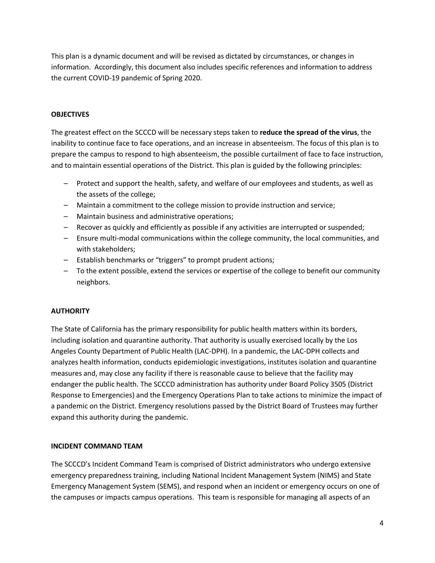This plan is a dynamic document and will be revised as dictated by circumstances, or changes in information. Accordingly, this document also includes specific references and information to address the current COVID-19 pandemic of Spring 2020.

#### **OBJECTIVES**

The greatest effect on the SCCCD will be necessary steps taken to **reduce the spread of the virus**, the inability to continue face to face operations, and an increase in absenteeism. The focus of this plan is to prepare the campus to respond to high absenteeism, the possible curtailment of face to face instruction, and to maintain essential operations of the District. This plan is guided by the following principles:

- Protect and support the health, safety, and welfare of our employees and students, as well as the assets of the college;
- Maintain a commitment to the college mission to provide instruction and service;
- Maintain business and administrative operations;
- Recover as quickly and efficiently as possible if any activities are interrupted or suspended;
- Ensure multi-modal communications within the college community, the local communities, and with stakeholders;
- Establish benchmarks or "triggers" to prompt prudent actions;
- To the extent possible, extend the services or expertise of the college to benefit our community neighbors.

# **AUTHORITY**

The State of California has the primary responsibility for public health matters within its borders, including isolation and quarantine authority. That authority is usually exercised locally by the Los Angeles County Department of Public Health (LAC-DPH). In a pandemic, the LAC-DPH collects and analyzes health information, conducts epidemiologic investigations, institutes isolation and quarantine measures and, may close any facility if there is reasonable cause to believe that the facility may endanger the public health. The SCCCD administration has authority under Board Policy 3505 (District Response to Emergencies) and the Emergency Operations Plan to take actions to minimize the impact of a pandemic on the District. Emergency resolutions passed by the District Board of Trustees may further expand this authority during the pandemic.

# **INCIDENT COMMAND TEAM**

The SCCCD's Incident Command Team is comprised of District administrators who undergo extensive emergency preparedness training, including National Incident Management System (NIMS) and State Emergency Management System (SEMS), and respond when an incident or emergency occurs on one of the campuses or impacts campus operations. This team is responsible for managing all aspects of an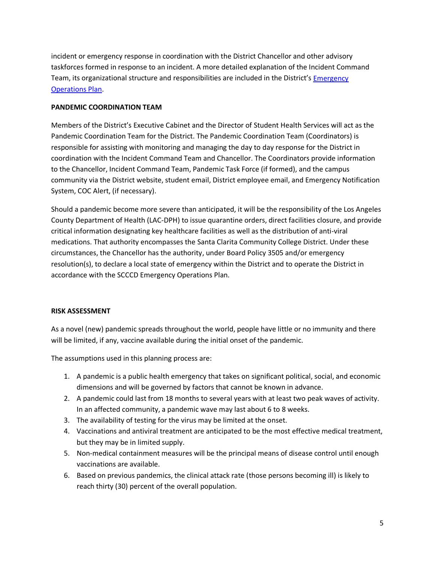incident or emergency response in coordination with the District Chancellor and other advisory taskforces formed in response to an incident. A more detailed explanation of the Incident Command Team, its organizational structure and responsibilities are included in the District's [Emergency](https://www.canyons.edu/studentservices/campussafety/emergencyops.php)  [Operations Plan.](https://www.canyons.edu/studentservices/campussafety/emergencyops.php)

### **PANDEMIC COORDINATION TEAM**

Members of the District's Executive Cabinet and the Director of Student Health Services will act as the Pandemic Coordination Team for the District. The Pandemic Coordination Team (Coordinators) is responsible for assisting with monitoring and managing the day to day response for the District in coordination with the Incident Command Team and Chancellor. The Coordinators provide information to the Chancellor, Incident Command Team, Pandemic Task Force (if formed), and the campus community via the District website, student email, District employee email, and Emergency Notification System, COC Alert, (if necessary).

Should a pandemic become more severe than anticipated, it will be the responsibility of the Los Angeles County Department of Health (LAC-DPH) to issue quarantine orders, direct facilities closure, and provide critical information designating key healthcare facilities as well as the distribution of anti-viral medications. That authority encompasses the Santa Clarita Community College District. Under these circumstances, the Chancellor has the authority, under Board Policy 3505 and/or emergency resolution(s), to declare a local state of emergency within the District and to operate the District in accordance with the SCCCD Emergency Operations Plan.

# **RISK ASSESSMENT**

As a novel (new) pandemic spreads throughout the world, people have little or no immunity and there will be limited, if any, vaccine available during the initial onset of the pandemic.

The assumptions used in this planning process are:

- 1. A pandemic is a public health emergency that takes on significant political, social, and economic dimensions and will be governed by factors that cannot be known in advance.
- 2. A pandemic could last from 18 months to several years with at least two peak waves of activity. In an affected community, a pandemic wave may last about 6 to 8 weeks.
- 3. The availability of testing for the virus may be limited at the onset.
- 4. Vaccinations and antiviral treatment are anticipated to be the most effective medical treatment, but they may be in limited supply.
- 5. Non-medical containment measures will be the principal means of disease control until enough vaccinations are available.
- 6. Based on previous pandemics, the clinical attack rate (those persons becoming ill) is likely to reach thirty (30) percent of the overall population.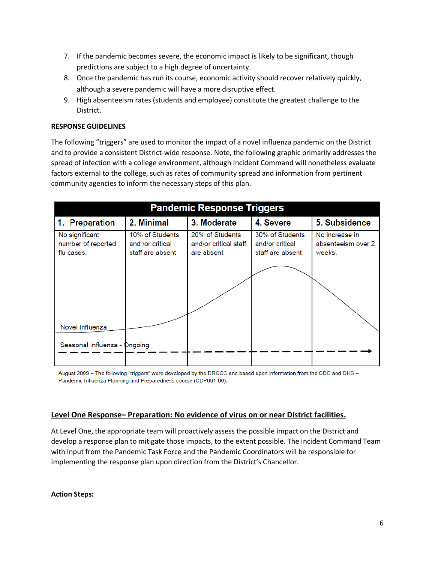- 7. If the pandemic becomes severe, the economic impact is likely to be significant, though predictions are subject to a high degree of uncertainty.
- 8. Once the pandemic has run its course, economic activity should recover relatively quickly, although a severe pandemic will have a more disruptive effect.
- 9. High absenteeism rates (students and employee) constitute the greatest challenge to the District.

# **RESPONSE GUIDELINES**

The following "triggers" are used to monitor the impact of a novel influenza pandemic on the District and to provide a consistent District-wide response. Note, the following graphic primarily addresses the spread of infection with a college environment, although Incident Command will nonetheless evaluate factors external to the college, such as rates of community spread and information from pertinent community agencies to inform the necessary steps of this plan.

| 3. Moderate<br>10% of Students<br>20% of Students<br>and/or critical staff<br>are absent | 4. Severe<br>30% of Students<br>and/or critical<br>staff are absent | 5. Subsidence<br>No increase in<br>absenteeism over 2<br>weeks. |
|------------------------------------------------------------------------------------------|---------------------------------------------------------------------|-----------------------------------------------------------------|
|                                                                                          |                                                                     |                                                                 |
|                                                                                          |                                                                     |                                                                 |
|                                                                                          |                                                                     |                                                                 |
|                                                                                          |                                                                     |                                                                 |

August 2009 - The following "triggers" were developed by the DRCCC and based upon information from the CDC and DHS -Pandemic Influenza Planning and Preparedness course (CDP001-06).

# **Level One Response– Preparation: No evidence of virus on or near District facilities.**

At Level One, the appropriate team will proactively assess the possible impact on the District and develop a response plan to mitigate those impacts, to the extent possible. The Incident Command Team with input from the Pandemic Task Force and the Pandemic Coordinators will be responsible for implementing the response plan upon direction from the District's Chancellor.

**Action Steps:**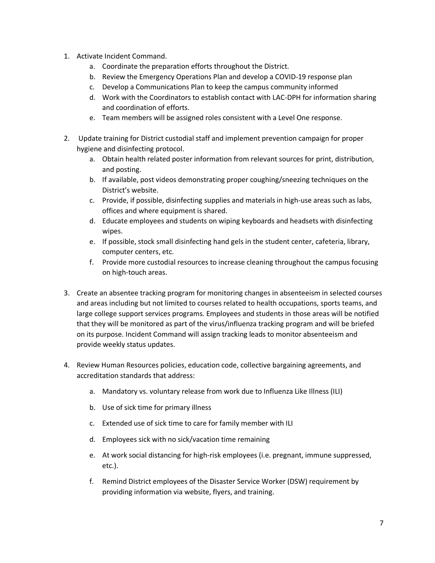- 1. Activate Incident Command.
	- a. Coordinate the preparation efforts throughout the District.
	- b. Review the Emergency Operations Plan and develop a COVID-19 response plan
	- c. Develop a Communications Plan to keep the campus community informed
	- d. Work with the Coordinators to establish contact with LAC-DPH for information sharing and coordination of efforts.
	- e. Team members will be assigned roles consistent with a Level One response.
- 2. Update training for District custodial staff and implement prevention campaign for proper hygiene and disinfecting protocol.
	- a. Obtain health related poster information from relevant sources for print, distribution, and posting.
	- b. If available, post videos demonstrating proper coughing/sneezing techniques on the District's website.
	- c. Provide, if possible, disinfecting supplies and materials in high-use areas such as labs, offices and where equipment is shared.
	- d. Educate employees and students on wiping keyboards and headsets with disinfecting wipes.
	- e. If possible, stock small disinfecting hand gels in the student center, cafeteria, library, computer centers, etc.
	- f. Provide more custodial resources to increase cleaning throughout the campus focusing on high-touch areas.
- 3. Create an absentee tracking program for monitoring changes in absenteeism in selected courses and areas including but not limited to courses related to health occupations, sports teams, and large college support services programs. Employees and students in those areas will be notified that they will be monitored as part of the virus/influenza tracking program and will be briefed on its purpose. Incident Command will assign tracking leads to monitor absenteeism and provide weekly status updates.
- 4. Review Human Resources policies, education code, collective bargaining agreements, and accreditation standards that address:
	- a. Mandatory vs. voluntary release from work due to Influenza Like Illness (ILI)
	- b. Use of sick time for primary illness
	- c. Extended use of sick time to care for family member with ILI
	- d. Employees sick with no sick/vacation time remaining
	- e. At work social distancing for high-risk employees (i.e. pregnant, immune suppressed, etc.).
	- f. Remind District employees of the Disaster Service Worker (DSW) requirement by providing information via website, flyers, and training.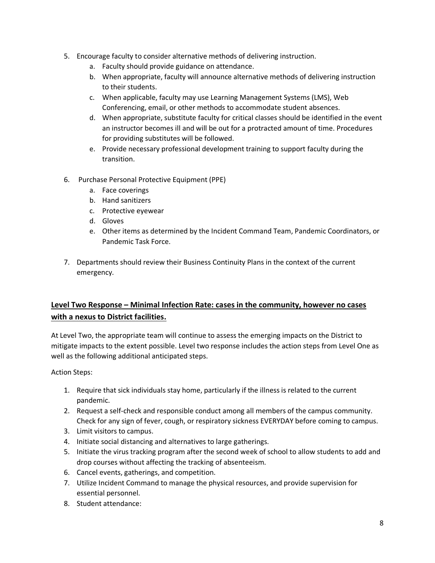- 5. Encourage faculty to consider alternative methods of delivering instruction.
	- a. Faculty should provide guidance on attendance.
	- b. When appropriate, faculty will announce alternative methods of delivering instruction to their students.
	- c. When applicable, faculty may use Learning Management Systems (LMS), Web Conferencing, email, or other methods to accommodate student absences.
	- d. When appropriate, substitute faculty for critical classes should be identified in the event an instructor becomes ill and will be out for a protracted amount of time. Procedures for providing substitutes will be followed.
	- e. Provide necessary professional development training to support faculty during the transition.
- 6. Purchase Personal Protective Equipment (PPE)
	- a. Face coverings
	- b. Hand sanitizers
	- c. Protective eyewear
	- d. Gloves
	- e. Other items as determined by the Incident Command Team, Pandemic Coordinators, or Pandemic Task Force.
- 7. Departments should review their Business Continuity Plans in the context of the current emergency.

# **Level Two Response – Minimal Infection Rate: cases in the community, however no cases with a nexus to District facilities.**

At Level Two, the appropriate team will continue to assess the emerging impacts on the District to mitigate impacts to the extent possible. Level two response includes the action steps from Level One as well as the following additional anticipated steps.

Action Steps:

- 1. Require that sick individuals stay home, particularly if the illness is related to the current pandemic.
- 2. Request a self-check and responsible conduct among all members of the campus community. Check for any sign of fever, cough, or respiratory sickness EVERYDAY before coming to campus.
- 3. Limit visitors to campus.
- 4. Initiate social distancing and alternatives to large gatherings.
- 5. Initiate the virus tracking program after the second week of school to allow students to add and drop courses without affecting the tracking of absenteeism.
- 6. Cancel events, gatherings, and competition.
- 7. Utilize Incident Command to manage the physical resources, and provide supervision for essential personnel.
- 8. Student attendance: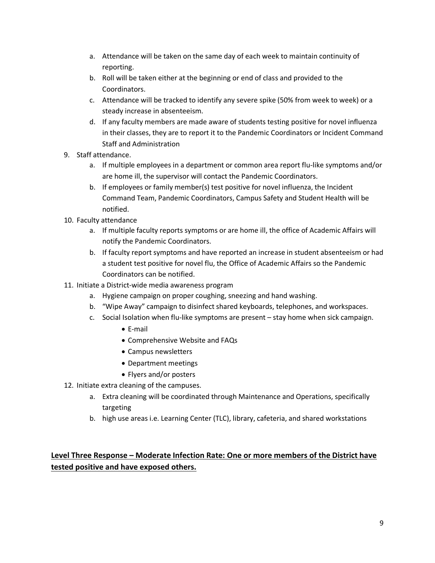- a. Attendance will be taken on the same day of each week to maintain continuity of reporting.
- b. Roll will be taken either at the beginning or end of class and provided to the Coordinators.
- c. Attendance will be tracked to identify any severe spike (50% from week to week) or a steady increase in absenteeism.
- d. If any faculty members are made aware of students testing positive for novel influenza in their classes, they are to report it to the Pandemic Coordinators or Incident Command Staff and Administration
- 9. Staff attendance.
	- a. If multiple employees in a department or common area report flu-like symptoms and/or are home ill, the supervisor will contact the Pandemic Coordinators.
	- b. If employees or family member(s) test positive for novel influenza, the Incident Command Team, Pandemic Coordinators, Campus Safety and Student Health will be notified.
- 10. Faculty attendance
	- a. If multiple faculty reports symptoms or are home ill, the office of Academic Affairs will notify the Pandemic Coordinators.
	- b. If faculty report symptoms and have reported an increase in student absenteeism or had a student test positive for novel flu, the Office of Academic Affairs so the Pandemic Coordinators can be notified.
- 11. Initiate a District-wide media awareness program
	- a. Hygiene campaign on proper coughing, sneezing and hand washing.
	- b. "Wipe Away" campaign to disinfect shared keyboards, telephones, and workspaces.
	- c. Social Isolation when flu-like symptoms are present stay home when sick campaign.
		- E-mail
		- Comprehensive Website and FAQs
		- Campus newsletters
		- Department meetings
		- Flyers and/or posters
- 12. Initiate extra cleaning of the campuses.
	- a. Extra cleaning will be coordinated through Maintenance and Operations, specifically targeting
	- b. high use areas i.e. Learning Center (TLC), library, cafeteria, and shared workstations

# **Level Three Response – Moderate Infection Rate: One or more members of the District have tested positive and have exposed others.**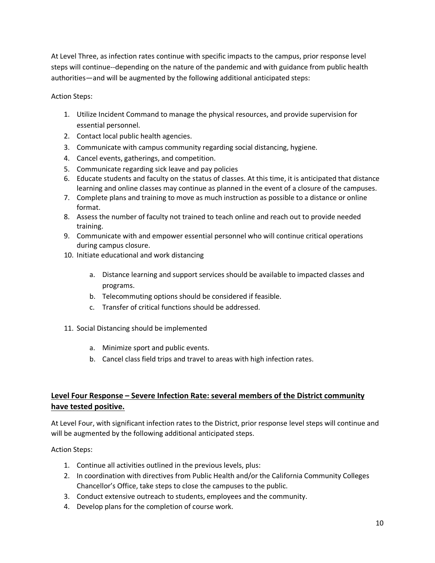At Level Three, as infection rates continue with specific impacts to the campus, prior response level steps will continue--depending on the nature of the pandemic and with guidance from public health authorities—and will be augmented by the following additional anticipated steps:

Action Steps:

- 1. Utilize Incident Command to manage the physical resources, and provide supervision for essential personnel.
- 2. Contact local public health agencies.
- 3. Communicate with campus community regarding social distancing, hygiene.
- 4. Cancel events, gatherings, and competition.
- 5. Communicate regarding sick leave and pay policies
- 6. Educate students and faculty on the status of classes. At this time, it is anticipated that distance learning and online classes may continue as planned in the event of a closure of the campuses.
- 7. Complete plans and training to move as much instruction as possible to a distance or online format.
- 8. Assess the number of faculty not trained to teach online and reach out to provide needed training.
- 9. Communicate with and empower essential personnel who will continue critical operations during campus closure.
- 10. Initiate educational and work distancing
	- a. Distance learning and support services should be available to impacted classes and programs.
	- b. Telecommuting options should be considered if feasible.
	- c. Transfer of critical functions should be addressed.
- 11. Social Distancing should be implemented
	- a. Minimize sport and public events.
	- b. Cancel class field trips and travel to areas with high infection rates.

# **Level Four Response – Severe Infection Rate: several members of the District community have tested positive.**

At Level Four, with significant infection rates to the District, prior response level steps will continue and will be augmented by the following additional anticipated steps.

Action Steps:

- 1. Continue all activities outlined in the previous levels, plus:
- 2. In coordination with directives from Public Health and/or the California Community Colleges Chancellor's Office, take steps to close the campuses to the public.
- 3. Conduct extensive outreach to students, employees and the community.
- 4. Develop plans for the completion of course work.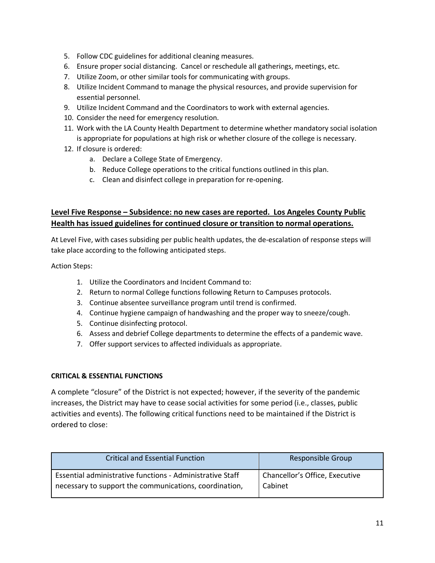- 5. Follow CDC guidelines for additional cleaning measures.
- 6. Ensure proper social distancing. Cancel or reschedule all gatherings, meetings, etc.
- 7. Utilize Zoom, or other similar tools for communicating with groups.
- 8. Utilize Incident Command to manage the physical resources, and provide supervision for essential personnel.
- 9. Utilize Incident Command and the Coordinators to work with external agencies.
- 10. Consider the need for emergency resolution.
- 11. Work with the LA County Health Department to determine whether mandatory social isolation is appropriate for populations at high risk or whether closure of the college is necessary.
- 12. If closure is ordered:
	- a. Declare a College State of Emergency.
	- b. Reduce College operations to the critical functions outlined in this plan.
	- c. Clean and disinfect college in preparation for re-opening.

# **Level Five Response – Subsidence: no new cases are reported. Los Angeles County Public Health has issued guidelines for continued closure or transition to normal operations.**

At Level Five, with cases subsiding per public health updates, the de-escalation of response steps will take place according to the following anticipated steps.

Action Steps:

- 1. Utilize the Coordinators and Incident Command to:
- 2. Return to normal College functions following Return to Campuses protocols.
- 3. Continue absentee surveillance program until trend is confirmed.
- 4. Continue hygiene campaign of handwashing and the proper way to sneeze/cough.
- 5. Continue disinfecting protocol.
- 6. Assess and debrief College departments to determine the effects of a pandemic wave.
- 7. Offer support services to affected individuals as appropriate.

#### **CRITICAL & ESSENTIAL FUNCTIONS**

A complete "closure" of the District is not expected; however, if the severity of the pandemic increases, the District may have to cease social activities for some period (i.e., classes, public activities and events). The following critical functions need to be maintained if the District is ordered to close:

| <b>Critical and Essential Function</b>                    | Responsible Group              |
|-----------------------------------------------------------|--------------------------------|
| Essential administrative functions - Administrative Staff | Chancellor's Office, Executive |
| necessary to support the communications, coordination,    | Cabinet                        |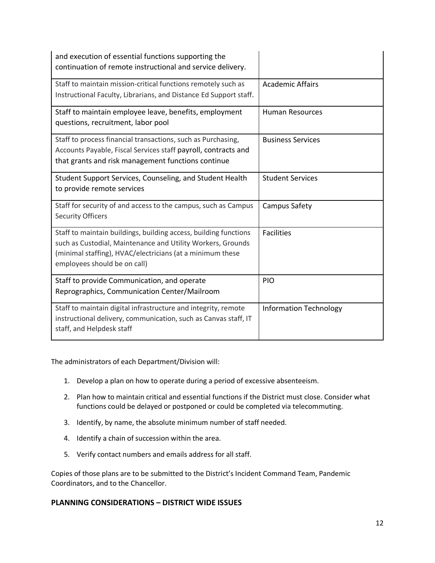| and execution of essential functions supporting the<br>continuation of remote instructional and service delivery.                                                                                                            |                               |
|------------------------------------------------------------------------------------------------------------------------------------------------------------------------------------------------------------------------------|-------------------------------|
| Staff to maintain mission-critical functions remotely such as<br>Instructional Faculty, Librarians, and Distance Ed Support staff.                                                                                           | <b>Academic Affairs</b>       |
| Staff to maintain employee leave, benefits, employment<br>questions, recruitment, labor pool                                                                                                                                 | <b>Human Resources</b>        |
| Staff to process financial transactions, such as Purchasing,<br>Accounts Payable, Fiscal Services staff payroll, contracts and<br>that grants and risk management functions continue                                         | <b>Business Services</b>      |
| Student Support Services, Counseling, and Student Health<br>to provide remote services                                                                                                                                       | <b>Student Services</b>       |
| Staff for security of and access to the campus, such as Campus<br><b>Security Officers</b>                                                                                                                                   | Campus Safety                 |
| Staff to maintain buildings, building access, building functions<br>such as Custodial, Maintenance and Utility Workers, Grounds<br>(minimal staffing), HVAC/electricians (at a minimum these<br>employees should be on call) | <b>Facilities</b>             |
| Staff to provide Communication, and operate<br>Reprographics, Communication Center/Mailroom                                                                                                                                  | PIO                           |
| Staff to maintain digital infrastructure and integrity, remote<br>instructional delivery, communication, such as Canvas staff, IT<br>staff, and Helpdesk staff                                                               | <b>Information Technology</b> |

The administrators of each Department/Division will:

- 1. Develop a plan on how to operate during a period of excessive absenteeism.
- 2. Plan how to maintain critical and essential functions if the District must close. Consider what functions could be delayed or postponed or could be completed via telecommuting.
- 3. Identify, by name, the absolute minimum number of staff needed.
- 4. Identify a chain of succession within the area.
- 5. Verify contact numbers and emails address for all staff.

Copies of those plans are to be submitted to the District's Incident Command Team, Pandemic Coordinators, and to the Chancellor.

# **PLANNING CONSIDERATIONS – DISTRICT WIDE ISSUES**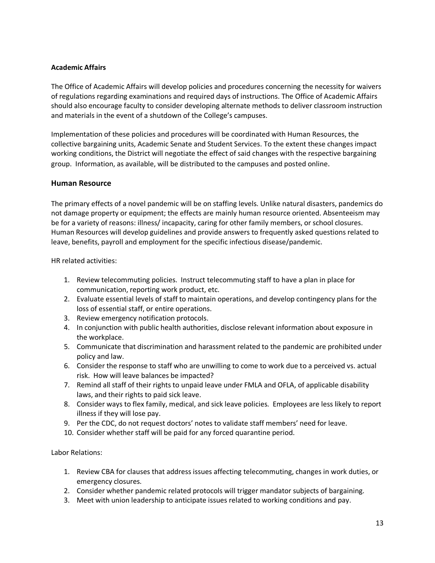#### **Academic Affairs**

The Office of Academic Affairs will develop policies and procedures concerning the necessity for waivers of regulations regarding examinations and required days of instructions. The Office of Academic Affairs should also encourage faculty to consider developing alternate methods to deliver classroom instruction and materials in the event of a shutdown of the College's campuses.

Implementation of these policies and procedures will be coordinated with Human Resources, the collective bargaining units, Academic Senate and Student Services. To the extent these changes impact working conditions, the District will negotiate the effect of said changes with the respective bargaining group. Information, as available, will be distributed to the campuses and posted online.

#### **Human Resource**

The primary effects of a novel pandemic will be on staffing levels. Unlike natural disasters, pandemics do not damage property or equipment; the effects are mainly human resource oriented. Absenteeism may be for a variety of reasons: illness/ incapacity, caring for other family members, or school closures. Human Resources will develop guidelines and provide answers to frequently asked questions related to leave, benefits, payroll and employment for the specific infectious disease/pandemic.

HR related activities:

- 1. Review telecommuting policies. Instruct telecommuting staff to have a plan in place for communication, reporting work product, etc.
- 2. Evaluate essential levels of staff to maintain operations, and develop contingency plans for the loss of essential staff, or entire operations.
- 3. Review emergency notification protocols.
- 4. In conjunction with public health authorities, disclose relevant information about exposure in the workplace.
- 5. Communicate that discrimination and harassment related to the pandemic are prohibited under policy and law.
- 6. Consider the response to staff who are unwilling to come to work due to a perceived vs. actual risk. How will leave balances be impacted?
- 7. Remind all staff of their rights to unpaid leave under FMLA and OFLA, of applicable disability laws, and their rights to paid sick leave.
- 8. Consider ways to flex family, medical, and sick leave policies. Employees are less likely to report illness if they will lose pay.
- 9. Per the CDC, do not request doctors' notes to validate staff members' need for leave.
- 10. Consider whether staff will be paid for any forced quarantine period.

Labor Relations:

- 1. Review CBA for clauses that address issues affecting telecommuting, changes in work duties, or emergency closures.
- 2. Consider whether pandemic related protocols will trigger mandator subjects of bargaining.
- 3. Meet with union leadership to anticipate issues related to working conditions and pay.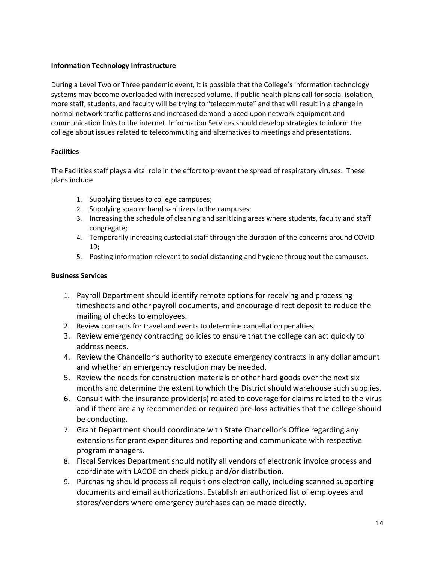### **Information Technology Infrastructure**

During a Level Two or Three pandemic event, it is possible that the College's information technology systems may become overloaded with increased volume. If public health plans call for social isolation, more staff, students, and faculty will be trying to "telecommute" and that will result in a change in normal network traffic patterns and increased demand placed upon network equipment and communication links to the internet. Information Services should develop strategies to inform the college about issues related to telecommuting and alternatives to meetings and presentations.

#### **Facilities**

The Facilities staff plays a vital role in the effort to prevent the spread of respiratory viruses. These plans include

- 1. Supplying tissues to college campuses;
- 2. Supplying soap or hand sanitizers to the campuses;
- 3. Increasing the schedule of cleaning and sanitizing areas where students, faculty and staff congregate;
- 4. Temporarily increasing custodial staff through the duration of the concerns around COVID-19;
- 5. Posting information relevant to social distancing and hygiene throughout the campuses.

# **Business Services**

- 1. Payroll Department should identify remote options for receiving and processing timesheets and other payroll documents, and encourage direct deposit to reduce the mailing of checks to employees.
- 2. Review contracts for travel and events to determine cancellation penalties.
- 3. Review emergency contracting policies to ensure that the college can act quickly to address needs.
- 4. Review the Chancellor's authority to execute emergency contracts in any dollar amount and whether an emergency resolution may be needed.
- 5. Review the needs for construction materials or other hard goods over the next six months and determine the extent to which the District should warehouse such supplies.
- 6. Consult with the insurance provider(s) related to coverage for claims related to the virus and if there are any recommended or required pre-loss activities that the college should be conducting.
- 7. Grant Department should coordinate with State Chancellor's Office regarding any extensions for grant expenditures and reporting and communicate with respective program managers.
- 8. Fiscal Services Department should notify all vendors of electronic invoice process and coordinate with LACOE on check pickup and/or distribution.
- 9. Purchasing should process all requisitions electronically, including scanned supporting documents and email authorizations. Establish an authorized list of employees and stores/vendors where emergency purchases can be made directly.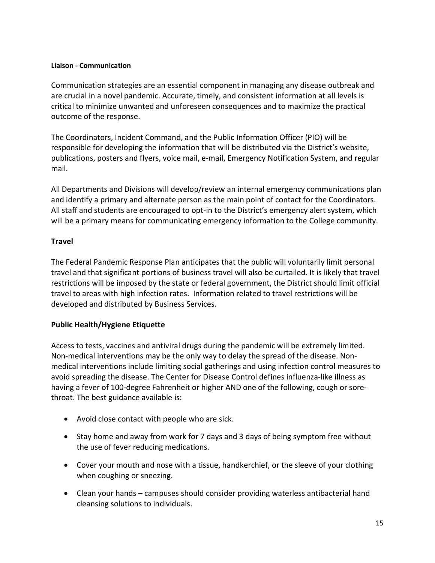# **Liaison - Communication**

Communication strategies are an essential component in managing any disease outbreak and are crucial in a novel pandemic. Accurate, timely, and consistent information at all levels is critical to minimize unwanted and unforeseen consequences and to maximize the practical outcome of the response.

The Coordinators, Incident Command, and the Public Information Officer (PIO) will be responsible for developing the information that will be distributed via the District's website, publications, posters and flyers, voice mail, e-mail, Emergency Notification System, and regular mail.

All Departments and Divisions will develop/review an internal emergency communications plan and identify a primary and alternate person as the main point of contact for the Coordinators. All staff and students are encouraged to opt-in to the District's emergency alert system, which will be a primary means for communicating emergency information to the College community.

# **Travel**

The Federal Pandemic Response Plan anticipates that the public will voluntarily limit personal travel and that significant portions of business travel will also be curtailed. It is likely that travel restrictions will be imposed by the state or federal government, the District should limit official travel to areas with high infection rates. Information related to travel restrictions will be developed and distributed by Business Services.

# **Public Health/Hygiene Etiquette**

Access to tests, vaccines and antiviral drugs during the pandemic will be extremely limited. Non-medical interventions may be the only way to delay the spread of the disease. Nonmedical interventions include limiting social gatherings and using infection control measures to avoid spreading the disease. The Center for Disease Control defines influenza-like illness as having a fever of 100-degree Fahrenheit or higher AND one of the following, cough or sorethroat. The best guidance available is:

- Avoid close contact with people who are sick.
- Stay home and away from work for 7 days and 3 days of being symptom free without the use of fever reducing medications.
- Cover your mouth and nose with a tissue, handkerchief, or the sleeve of your clothing when coughing or sneezing.
- Clean your hands campuses should consider providing waterless antibacterial hand cleansing solutions to individuals.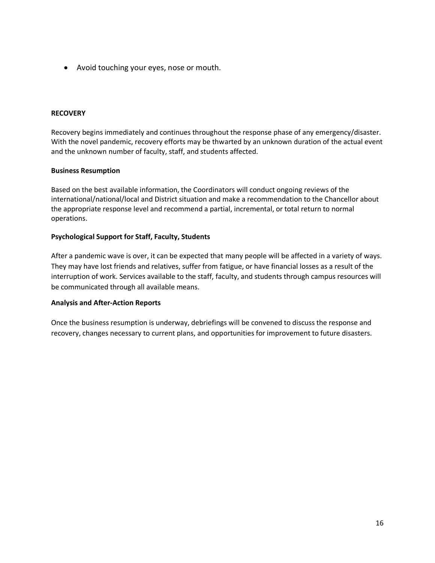• Avoid touching your eyes, nose or mouth.

#### **RECOVERY**

Recovery begins immediately and continues throughout the response phase of any emergency/disaster. With the novel pandemic, recovery efforts may be thwarted by an unknown duration of the actual event and the unknown number of faculty, staff, and students affected.

#### **Business Resumption**

Based on the best available information, the Coordinators will conduct ongoing reviews of the international/national/local and District situation and make a recommendation to the Chancellor about the appropriate response level and recommend a partial, incremental, or total return to normal operations.

#### **Psychological Support for Staff, Faculty, Students**

After a pandemic wave is over, it can be expected that many people will be affected in a variety of ways. They may have lost friends and relatives, suffer from fatigue, or have financial losses as a result of the interruption of work. Services available to the staff, faculty, and students through campus resources will be communicated through all available means.

#### **Analysis and After-Action Reports**

Once the business resumption is underway, debriefings will be convened to discuss the response and recovery, changes necessary to current plans, and opportunities for improvement to future disasters.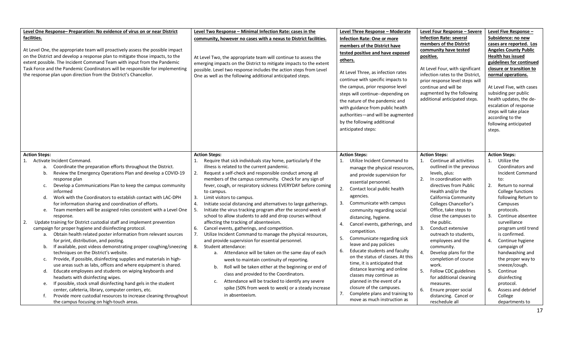| Level One Response-Preparation: No evidence of virus on or near District<br>facilities.<br>At Level One, the appropriate team will proactively assess the possible impact<br>on the District and develop a response plan to mitigate those impacts, to the<br>extent possible. The Incident Command Team with input from the Pandemic<br>Task Force and the Pandemic Coordinators will be responsible for implementing<br>the response plan upon direction from the District's Chancellor.                                                                                                                                                                                                                                                                                                                                                                                                                                                                                                                                                                                                                                                                                                                                                                                                                                                                   | Level Two Response - Minimal Infection Rate: cases in the<br>community, however no cases with a nexus to District facilities.<br>At Level Two, the appropriate team will continue to assess the<br>emerging impacts on the District to mitigate impacts to the extent<br>possible. Level two response includes the action steps from Level<br>One as well as the following additional anticipated steps.                                                                                                                                                                                                                                                                                                                                                                                                                                                                                                                                                                                                                                                                                                                                                                                         | Level Three Response - Moderate<br><b>Infection Rate: One or more</b><br>members of the District have<br>tested positive and have exposed<br>others.<br>At Level Three, as infection rates<br>continue with specific impacts to<br>the campus, prior response level<br>steps will continue--depending on<br>the nature of the pandemic and<br>with guidance from public health<br>authorities-and will be augmented<br>by the following additional<br>anticipated steps:                                                                                                                                                                                                                                             | Level Four Response - Severe<br><b>Infection Rate: several</b><br>members of the District<br>community have tested<br>positive.<br>At Level Four, with significant<br>infection rates to the District,<br>prior response level steps will<br>continue and will be<br>augmented by the following<br>additional anticipated steps.                                                                                                                                                                                                                                                       | Level Five Response -<br>Subsidence: no new<br>cases are reported. Los<br><b>Angeles County Public</b><br>Health has issued<br>guidelines for continued<br>closure or transition to<br>normal operations.<br>At Level Five, with cases<br>subsiding per public<br>health updates, the de-<br>escalation of response<br>steps will take place<br>according to the<br>following anticipated<br>steps.                                                                 |
|--------------------------------------------------------------------------------------------------------------------------------------------------------------------------------------------------------------------------------------------------------------------------------------------------------------------------------------------------------------------------------------------------------------------------------------------------------------------------------------------------------------------------------------------------------------------------------------------------------------------------------------------------------------------------------------------------------------------------------------------------------------------------------------------------------------------------------------------------------------------------------------------------------------------------------------------------------------------------------------------------------------------------------------------------------------------------------------------------------------------------------------------------------------------------------------------------------------------------------------------------------------------------------------------------------------------------------------------------------------|--------------------------------------------------------------------------------------------------------------------------------------------------------------------------------------------------------------------------------------------------------------------------------------------------------------------------------------------------------------------------------------------------------------------------------------------------------------------------------------------------------------------------------------------------------------------------------------------------------------------------------------------------------------------------------------------------------------------------------------------------------------------------------------------------------------------------------------------------------------------------------------------------------------------------------------------------------------------------------------------------------------------------------------------------------------------------------------------------------------------------------------------------------------------------------------------------|----------------------------------------------------------------------------------------------------------------------------------------------------------------------------------------------------------------------------------------------------------------------------------------------------------------------------------------------------------------------------------------------------------------------------------------------------------------------------------------------------------------------------------------------------------------------------------------------------------------------------------------------------------------------------------------------------------------------|----------------------------------------------------------------------------------------------------------------------------------------------------------------------------------------------------------------------------------------------------------------------------------------------------------------------------------------------------------------------------------------------------------------------------------------------------------------------------------------------------------------------------------------------------------------------------------------|---------------------------------------------------------------------------------------------------------------------------------------------------------------------------------------------------------------------------------------------------------------------------------------------------------------------------------------------------------------------------------------------------------------------------------------------------------------------|
| <b>Action Steps:</b><br>1. Activate Incident Command.<br>Coordinate the preparation efforts throughout the District.<br>а.<br>Review the Emergency Operations Plan and develop a COVID-19<br>b.<br>response plan<br>Develop a Communications Plan to keep the campus community<br>c.<br>informed<br>Work with the Coordinators to establish contact with LAC-DPH<br>d.<br>for information sharing and coordination of efforts.<br>Team members will be assigned roles consistent with a Level One<br>e.<br>response.<br>Update training for District custodial staff and implement prevention<br>2.<br>campaign for proper hygiene and disinfecting protocol.<br>Obtain health related poster information from relevant sources<br>a.<br>for print, distribution, and posting.<br>If available, post videos demonstrating proper coughing/sneezing<br>b.<br>techniques on the District's website.<br>Provide, if possible, disinfecting supplies and materials in high-<br>c.<br>use areas such as labs, offices and where equipment is shared.<br>Educate employees and students on wiping keyboards and<br>d.<br>headsets with disinfecting wipes.<br>If possible, stock small disinfecting hand gels in the student<br>e.<br>center, cafeteria, library, computer centers, etc.<br>Provide more custodial resources to increase cleaning throughout<br>f. | <b>Action Steps:</b><br>Require that sick individuals stay home, particularly if the<br>illness is related to the current pandemic.<br>Request a self-check and responsible conduct among all<br>2.<br>members of the campus community. Check for any sign of<br>fever, cough, or respiratory sickness EVERYDAY before coming<br>to campus.<br>Limit visitors to campus.<br>-3.<br>Initiate social distancing and alternatives to large gatherings.<br>4.<br>Initiate the virus tracking program after the second week of<br>5.<br>school to allow students to add and drop courses without<br>affecting the tracking of absenteeism.<br>Cancel events, gatherings, and competition.<br>6.<br>Utilize Incident Command to manage the physical resources,<br>7.<br>and provide supervision for essential personnel.<br>Student attendance:<br>8.<br>a. Attendance will be taken on the same day of each<br>week to maintain continuity of reporting.<br>Roll will be taken either at the beginning or end of<br>b.<br>class and provided to the Coordinators.<br>Attendance will be tracked to identify any severe<br>c.<br>spike (50% from week to week) or a steady increase<br>in absenteeism. | <b>Action Steps:</b><br>1. Utilize Incident Command to<br>manage the physical resources,<br>and provide supervision for<br>essential personnel.<br>2.<br>Contact local public health<br>agencies.<br>Communicate with campus<br>3.<br>community regarding social<br>distancing, hygiene.<br>Cancel events, gatherings, and<br>4.<br>competition.<br>Communicate regarding sick<br>5.<br>leave and pay policies<br>Educate students and faculty<br>6.<br>on the status of classes. At this<br>time, it is anticipated that<br>distance learning and online<br>classes may continue as<br>planned in the event of a<br>closure of the campuses.<br>Complete plans and training to<br>7.<br>move as much instruction as | <b>Action Steps:</b><br>Continue all activities<br>1.<br>outlined in the previous<br>levels, plus:<br>In coordination with<br>2.<br>directives from Public<br>Health and/or the<br>California Community<br>Colleges Chancellor's<br>Office, take steps to<br>close the campuses to<br>the public.<br>3.<br>Conduct extensive<br>outreach to students,<br>employees and the<br>community.<br>4.<br>Develop plans for the<br>completion of course<br>work.<br>5.<br>Follow CDC guidelines<br>for additional cleaning<br>measures.<br>6.<br>Ensure proper social<br>distancing. Cancel or | <b>Action Steps:</b><br>Utilize the<br>1.<br>Coordinators and<br>Incident Command<br>to:<br>2.<br>Return to normal<br>College functions<br>following Return to<br>Campuses<br>protocols.<br>Continue absentee<br>3.<br>surveillance<br>program until trend<br>is confirmed.<br>Continue hygiene<br>4.<br>campaign of<br>handwashing and<br>the proper way to<br>sneeze/cough.<br>5.<br>Continue<br>disinfecting<br>protocol.<br>6.<br>Assess and debrief<br>College |